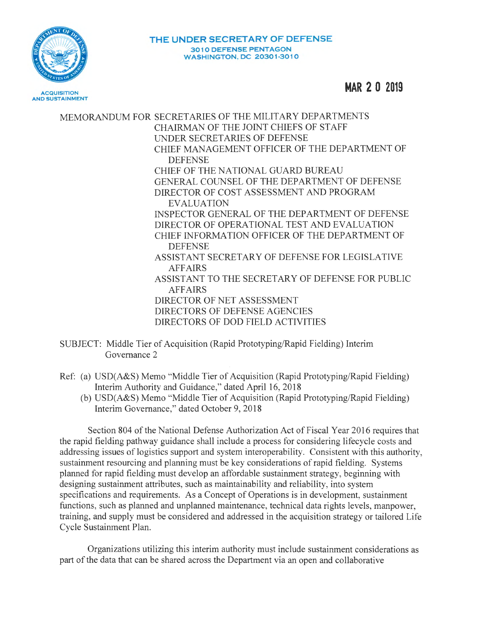

**MAR 2 0 2019** 

MEMORANDUM FOR SECRETARIES OF THE MILITARY DEPARTMENTS CHAIRMAN OF THE JOINT CHIEFS OF STAFF UNDER SECRET ARIES OF DEFENSE CHIEF MANAGEMENT OFFICER OF THE DEPARTMENT OF **DEFENSE** CHIEF OF THE NATIONAL GUARD BUREAU GENERAL COUNSEL OF THE DEPARTMENT OF DEFENSE DIRECTOR OF COST ASSESSMENT AND PROGRAM EVALUATION INSPECTOR GENERAL OF THE DEPARTMENT OF DEFENSE DIRECTOR OF OPERATIONAL TEST AND EVALUATION CHIEF INFORMATION OFFICER OF THE DEPARTMENT OF DEFENSE ASSISTANT SECRETARY OF DEFENSE FOR LEGISLATIVE AFFAIRS ASSISTANT TO THE SECRETARY OF DEFENSE FOR PUBLIC AFFAIRS DIRECTOR OF NET ASSESSMENT DIRECTORS OF DEFENSE AGENCIES DIRECTORS OF DOD FIELD ACTIVITIES

SUBJECT: Middle Tier of Acquisition (Rapid Prototyping/Rapid Fielding) Interim Governance 2

- Ref: (a) USD(A&S) Memo "Middle Tier of Acquisition (Rapid Prototyping/Rapid Fielding) Interim Authority and Guidance," dated April 16, 2018
	- (b) USD(A&S) Memo "Middle Tier of Acquisition (Rapid Prototyping/Rapid Fielding) Interim Governance," dated October 9, 2018

Section 804 of the National Defense Authorization Act of Fiscal Year 2016 requires that the rapid fielding pathway guidance shall include a process for considering lifecycle costs and addressing issues of logistics support and system interoperability. Consistent with this authority, sustainment resourcing and planning must be key considerations of rapid fielding. Systems planned for rapid fielding must develop an affordable sustainment strategy, beginning with designing sustainment attributes, such as maintainability and reliability, into system specifications and requirements. As a Concept of Operations is in development, sustainment functions, such as planned and unplanned maintenance, technical data rights levels, manpower, training, and supply must be considered and addressed in the acquisition strategy or tailored Life Cycle Sustainment Plan.

Organizations utilizing this interim authority must include sustainment considerations as part of the data that can be shared across the Department via an open and collaborative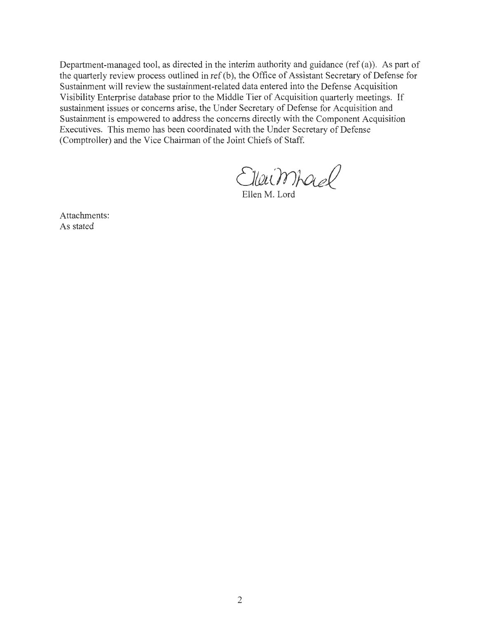Department-managed tool, as directed in the interim authority and guidance (ref (a)). As part of the quarterly review process outlined in ref (b), the Office of Assistant Secretary of Defense for Sustainment will review the sustainment-related data entered into the Defense Acquisition Visibility Enterprise database prior to the Middle Tier of Acquisition quarterly meetings. If sustainment issues or concerns arise, the Under Secretary of Defense for Acquisition and Sustainment is empowered to address the concerns directly with the Component Acquisition Executives. This memo has been coordinated with the Under Secretary of Defense (Comptroller) and the Vice Chairman of the Joint Chiefs of Staff.

Ellewmhad

Ellen M. Lord

Attachments: As stated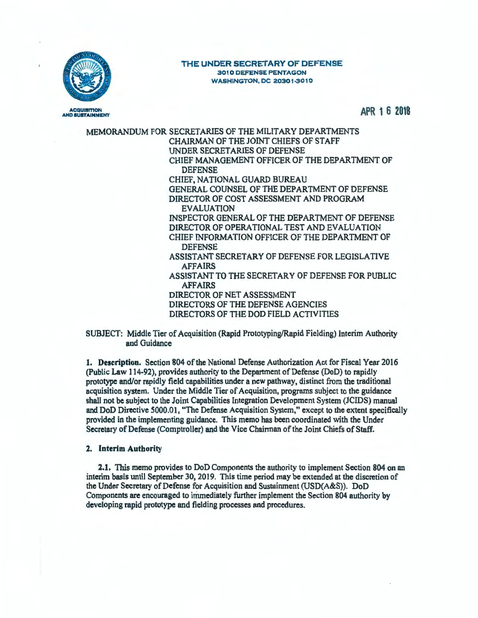

### THE UNDER SECRETARY OF DEFENSE 3010 DEFENSE PENTAGON **WASHINGTON, DC 20301-3010**

APR 1 **6 2018** 

MEMORANDUM FOR SECRETARIES OF THE MILITARY DEPARTMENTS CHAIRMAN OF THE JOINT CHIEFS OF STAFF UNDER SECRETARIES OF DEFENSE CHIEF MANAGEMENT OFFICER OF THE DEPARTMENT OF **DEFENSE** CHIEF, NATIONAL GUARD BUREAU GENERAL COUNSEL OF THE DEPARTMENT OF DEFENSE DIRECTOR OF COST ASSESSMENT AND PROGRAM EVALUATION INSPECTOR GENERAL OF THE DEPARTMENT OF DEFENSE DIRECTOR OF OPERATIONAL TEST AND EVALUATION CHIEF INFORMATION OFFICER OF THE DEPARTMENT OF DEFENSE ASSISTANT SECRETARY OF DEFENSE FOR LEGISLATIVE AFFAIRS ASSISTANT TO THE SECRETARY OF DEFENSE FOR PUBLIC AFFAIRS DIRECTOR OF NET ASSESSMENT DIRECTORS OF THE DEFENSE AGENCIES DIRECTORS OF THE DOD FIELD ACTIVITIES

SUBJECT: Middle Tier of Acquisition (Rapid Prototyping/Rapid Fielding) Interim Authority and Guidance

1. **Description.** Section 804 of the National Defense Authorization Act for Fiscal Year 2016 (Public Law 114-92), provides authority to the Department of Defense (DoD) to rapidly prototype and/or rapidly field capabilities under a new pathway, distinct from the traditional acquisition system. Under the Middle Tier of Acquisition, programs subject to the guidance shall not be subject to the Joint Capabilities Integration Development System (JCIDS) manual and DoD Directive 5000.01, "The Defense Acquisition System," except to the extent specifically provided in the implementing guidance. This memo has been coordinated with the Under Secretary of Defense (Comptroller) and the Vice Chairman of the Joint Chiefs of Staff.

# **2. Interim Authority**

**2.1.** This memo provides to DoD Components the authority to implement Section 804 on an interim basis until September 30, 2019. This time period may be extended at the discretion of the Under Secretary of Defense for Acquisition and Sustainment (USD(A&S)). DoD Components are encouraged to immediately further implement the Section 804 authority by developing rapid prototype and fielding processes and procedures.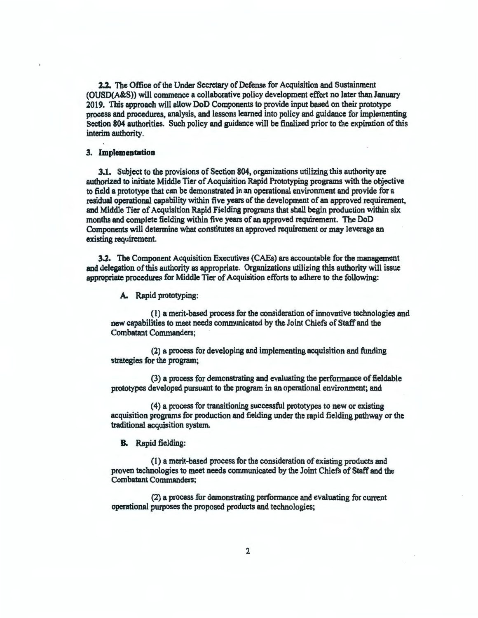2.2. The Office of the Under Secretary of Defense for Acquisition and Sustainment (OUSD(A&S)) will commence a collaborative policy development effort no later than January 2019. This approach will allow DoD Components to provide input based on their prototype process and procedures, analysis, and lessons learned into policy and guidance for implementing Section 804 authorities. Such policy and guidance will be finalized prior to the expiration of this interim authority.

### 3. **Implementation**

**3.1.** Subject to the provisions of Section 804, organizations utilizing this authority are authorized to initiate Middle Tier of Acquisition Rapid Prototyping programs with the objective to field a prototype that can be demonstrated in an operational environment and provide for a residual operational capability within five years of the development of an approved requirement, and Middle Tier of Acquisition Rapid Fielding programs that shall begin production within six months and complete fielding within five years of an approved requirement. The DoD Components will determine what constitutes an approved requirement or may leverage an existing requirement.

3.2. The Component Acquisition Executives (CAEs) are accountable for the management and delegation of this authority as appropriate. Organizations utilizing this authority will issue appropriate procedures for Middle Tier of Acquisition efforts to adhere to the following:

A. Rapid prototyping:

( 1) a merit-based process for the consideration of innovative technologies and new capabilities to meet needs communicated by the Joint Chiefs of Staff and the Combatant Commanders;

(2) a process for developing and implementing acquisition and funding strategies for the program;

(3) a process for demonstrating and evaluating the performance of fieldable prototypes developed pursuant to the program in an operational environment; and

(4) a process for transitioning successful prototypes to new or existing acquisition programs for production and fielding under the rapid fielding pathway or the traditional acquisition system.

**B.** Rapid fielding:

(1) a merit-based process for the consideration of existing products and proven technologies to meet needs communicated by the Joint Chiefs of Staff and the Combatant Commanders;

(2) a process for demonstrating performance and evaluating for current operational purposes the proposed products and technologies;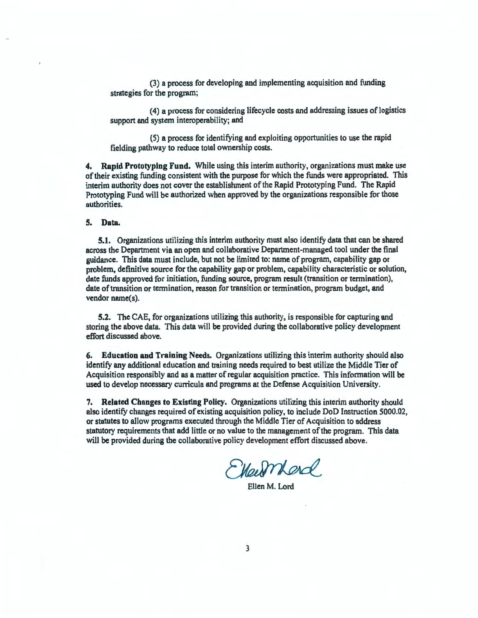(3) a process for developing and implementing acquisition and funding strategies for the program;

(4) a process for considering lifecycle costs and addressing issues of logistics support and system interoperability; and

(5) a process for identifying and exploiting opportunities to use the rapid fielding pathway to reduce total ownership costs.

**4. Rapid Prototyping Fund.** While using this interim authority, organizations must make use of their existing funding consistent with the purpose for which the funds were appropriated. This interim authority does not cover the establishment of the Rapid Prototyping Fund. The Rapid Prototyping Fund will be authorized when approved by the organizations responsible for those authorities.

## **S. Data.**

**5.1.** Organizations utilizing this interim authority must also identify data that can be shared across the Department via an open and collaborative Department-managed tool under the final guidance. This data must include, but not be limited to: name of program, capability gap or problem, definitive source for the capability gap or problem, capability characteristic or solution, date funds approved for initiation, funding source, program result (transition or termination), date of transition or termination, reason for transition or termination, program budget, and vendor name(s).

**5.2.** The CAE, for organizations utilizing this authority, is responsible for capturing and storing the above data. This data will be provided during the collaborative policy development effort discussed above.

**6. Education and Training Needs.** Organizations utilizing this interim authority should also identify any additional education and training needs required to best utilize the Middle **Tier** of Acquisition responsibly and as a matter of regular acquisition practice. This information will be used to develop necessary curricula and programs at the Defense Acquisition University.

7. **Related Changes to Existing Policy.** Organizations utilizing this interim authority should also identify changes required of existing acquisition policy, to include DoD Instruction 5000.02, or statutes to allow programs executed through the Middle Tier of Acquisition to address statutory requirements that add little or no value to the management of the program. This data will be provided during the collaborative policy development effort discussed above.

Marmard

Ellen M. Lord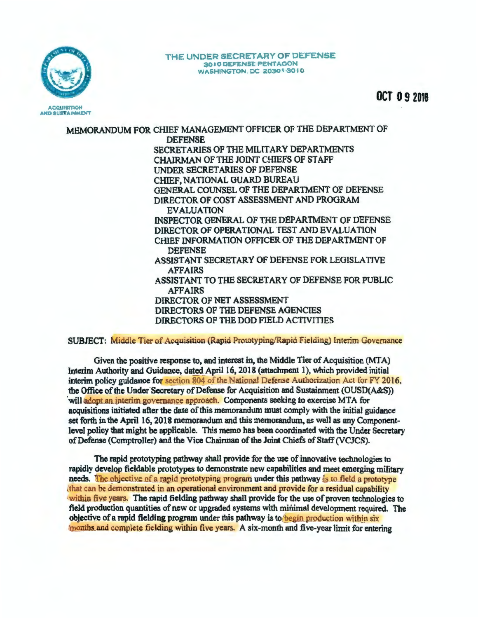

#### THE UNDER SECRETARY OF DEFENSE 3010 DEFENSE PENTAGON **WASHINGTON, DC 20301-3010**

**OCT 09 2018** 

MEMORANDUM FOR CHIEF MANAGEMENT OFFICER OF THE DEPARTMENT OF **DEFENSE** SECRETARIES OF THE MILITARY DEPARTMENTS CHAIRMAN OF THE JOINT CHIEFS OF STAFF **INDER SECRETARIES OF DEFENSE** CHIEF, NATIONAL GUARD BUREAU GENERAL COUNSEL OF THE DEPARTMENT OF DEFENSE DIRECTOR OF COST ASSESSMENT AND PROGRAM **EVALUATION** INSPECTOR GENERAL OF THE DEPARTMENT OF DEFENSE DIRECTOR OF OPERATIONAL TEST AND EVALUATION CHIEF INFORMATION OFFICER OF THE DEPARTMENT OF **DEFENSE** ASSISTANT SECRETARY OF DEFENSE FOR LEGISLATIVE **AFFAIRS** ASSISTANT TO THE SECRETARY OF DEFENSE FOR PUBLIC **AFFAIRS** DIRECTOR OF NET ASSESSMENT DIRECTORS OF THE DEFENSE AGENCIES DIRECTORS OF THE DOD FIELD ACTIVITIES

SUBJECT: Middle Tier of Acquisition (Rapid Prototyping/Rapid Fielding) Interim Governance

Given the positive response to, and interest in, the Middle Tier of Acquisition (MTA) Interim Authority and Guidance, dated April 16, 2018 (attachment 1), which provided initial interim policy guidance for section 804 of the National Defense Authorization Act for FY 2016. the Office of the Under Secretary of Defense for Acquisition and Sustainment (OUSD(A&S)) will adopt an interim governance approach. Components seeking to exercise MTA for acquisitions initiated after the date of this memorandum must comply with the initial guidance set forth in the April 16, 2018 memorandum and this memorandum, as well as any Componentlevel policy that might be applicable. This memo has been coordinated with the Under Secretary of Defense (Comptroller) and the Vice Chairman of the Joint Chiefs of Staff (VCJCS).

The rapid prototyping pathway shall provide for the use of innovative technologies to rapidly develop fieldable prototypes to demonstrate new capabilities and meet emerging military needs. The objective of a rapid prototyping program under this pathway is to field a prototype that can be demonstrated in an operational environment and provide for a residual capability within five years. The rapid fielding pathway shall provide for the use of proven technologies to field production quantities of new or upgraded systems with minimal development required. The objective of a rapid fielding program under this pathway is to begin production within six months and complete fielding within five years. A six-month and five-year limit for entering